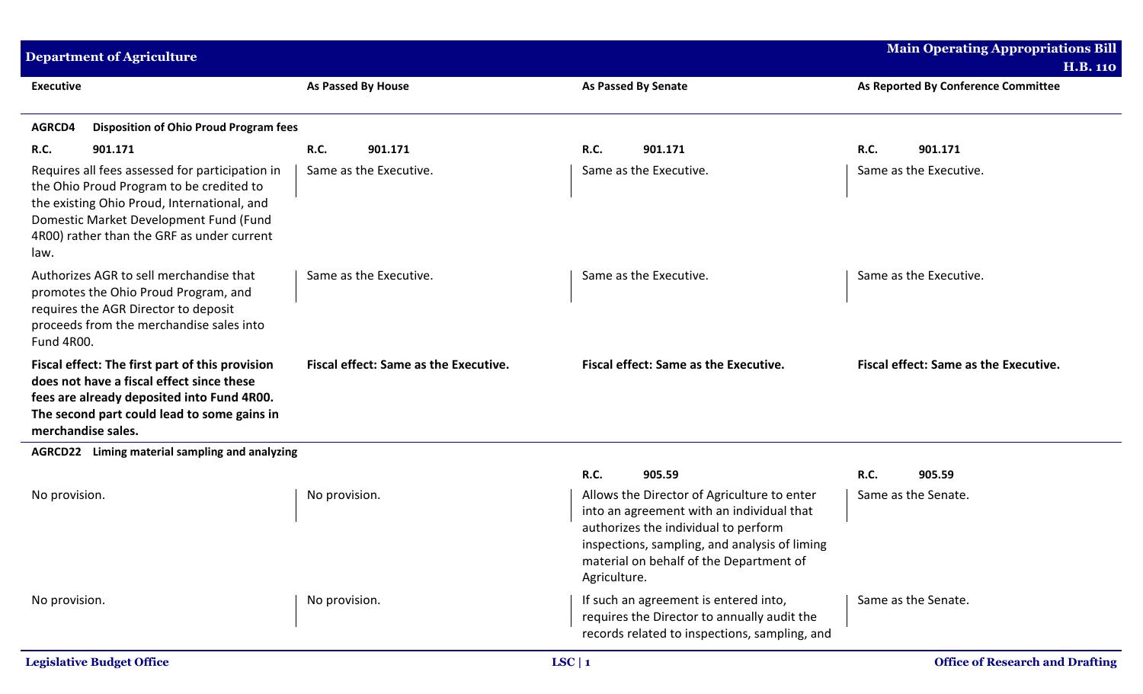| <b>Department of Agriculture</b>                                                                                                                                                                                                           |                                              |                                                                                                                                                                                                                                              | <b>Main Operating Appropriations Bill</b><br><b>H.B. 110</b> |
|--------------------------------------------------------------------------------------------------------------------------------------------------------------------------------------------------------------------------------------------|----------------------------------------------|----------------------------------------------------------------------------------------------------------------------------------------------------------------------------------------------------------------------------------------------|--------------------------------------------------------------|
| <b>Executive</b>                                                                                                                                                                                                                           | <b>As Passed By House</b>                    | <b>As Passed By Senate</b>                                                                                                                                                                                                                   | As Reported By Conference Committee                          |
| <b>Disposition of Ohio Proud Program fees</b><br>AGRCD4                                                                                                                                                                                    |                                              |                                                                                                                                                                                                                                              |                                                              |
| <b>R.C.</b><br>901.171                                                                                                                                                                                                                     | R.C.<br>901.171                              | R.C.<br>901.171                                                                                                                                                                                                                              | <b>R.C.</b><br>901.171                                       |
| Requires all fees assessed for participation in<br>the Ohio Proud Program to be credited to<br>the existing Ohio Proud, International, and<br>Domestic Market Development Fund (Fund<br>4R00) rather than the GRF as under current<br>law. | Same as the Executive.                       | Same as the Executive.                                                                                                                                                                                                                       | Same as the Executive.                                       |
| Authorizes AGR to sell merchandise that<br>promotes the Ohio Proud Program, and<br>requires the AGR Director to deposit<br>proceeds from the merchandise sales into<br>Fund 4R00.                                                          | Same as the Executive.                       | Same as the Executive.                                                                                                                                                                                                                       | Same as the Executive.                                       |
| Fiscal effect: The first part of this provision<br>does not have a fiscal effect since these<br>fees are already deposited into Fund 4R00.<br>The second part could lead to some gains in<br>merchandise sales.                            | <b>Fiscal effect: Same as the Executive.</b> | <b>Fiscal effect: Same as the Executive.</b>                                                                                                                                                                                                 | Fiscal effect: Same as the Executive.                        |
| AGRCD22 Liming material sampling and analyzing                                                                                                                                                                                             |                                              |                                                                                                                                                                                                                                              |                                                              |
|                                                                                                                                                                                                                                            |                                              | R.C.<br>905.59                                                                                                                                                                                                                               | <b>R.C.</b><br>905.59                                        |
| No provision.                                                                                                                                                                                                                              | No provision.                                | Allows the Director of Agriculture to enter<br>into an agreement with an individual that<br>authorizes the individual to perform<br>inspections, sampling, and analysis of liming<br>material on behalf of the Department of<br>Agriculture. | Same as the Senate.                                          |
| No provision.                                                                                                                                                                                                                              | No provision.                                | If such an agreement is entered into,<br>requires the Director to annually audit the<br>records related to inspections, sampling, and                                                                                                        | Same as the Senate.                                          |
| <b>Legislative Budget Office</b>                                                                                                                                                                                                           |                                              | LSC   1                                                                                                                                                                                                                                      | <b>Office of Research and Drafting</b>                       |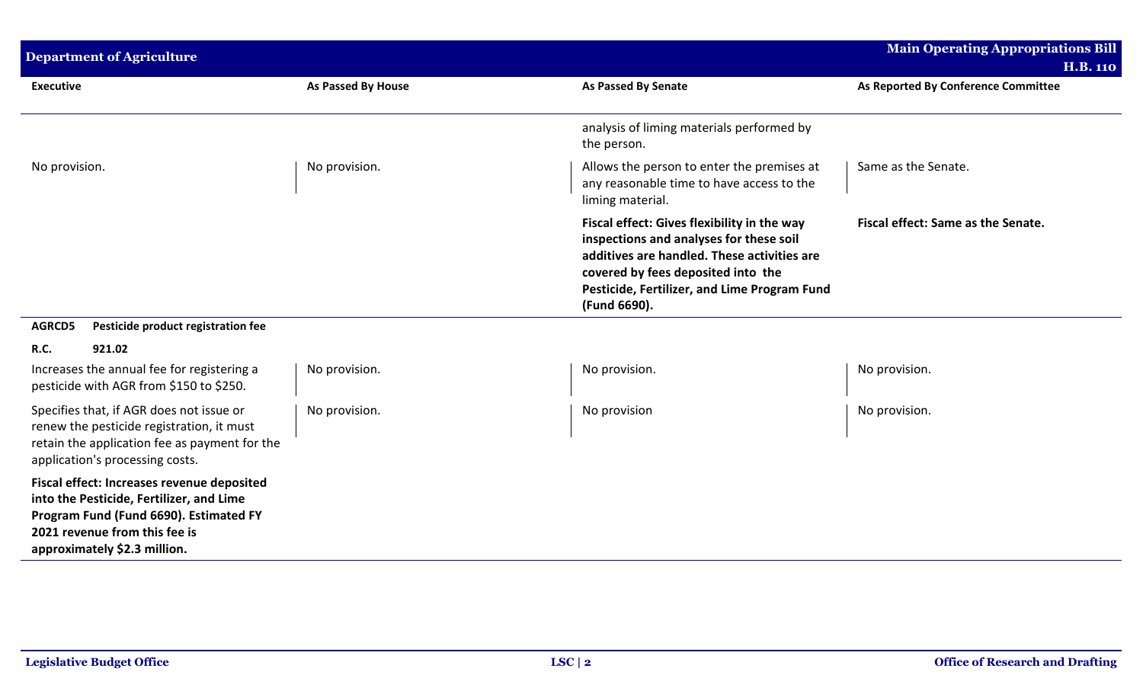| <b>Department of Agriculture</b>                                                                                                                                                                  |                    |                                                                                                                                                                                                                                             | <b>Main Operating Appropriations Bill</b><br><b>H.B. 110</b> |
|---------------------------------------------------------------------------------------------------------------------------------------------------------------------------------------------------|--------------------|---------------------------------------------------------------------------------------------------------------------------------------------------------------------------------------------------------------------------------------------|--------------------------------------------------------------|
| <b>Executive</b>                                                                                                                                                                                  | As Passed By House | <b>As Passed By Senate</b>                                                                                                                                                                                                                  | As Reported By Conference Committee                          |
|                                                                                                                                                                                                   |                    | analysis of liming materials performed by<br>the person.                                                                                                                                                                                    |                                                              |
| No provision.                                                                                                                                                                                     | No provision.      | Allows the person to enter the premises at<br>any reasonable time to have access to the<br>liming material.                                                                                                                                 | Same as the Senate.                                          |
|                                                                                                                                                                                                   |                    | Fiscal effect: Gives flexibility in the way<br>inspections and analyses for these soil<br>additives are handled. These activities are<br>covered by fees deposited into the<br>Pesticide, Fertilizer, and Lime Program Fund<br>(Fund 6690). | Fiscal effect: Same as the Senate.                           |
| <b>AGRCD5</b><br>Pesticide product registration fee                                                                                                                                               |                    |                                                                                                                                                                                                                                             |                                                              |
| <b>R.C.</b><br>921.02                                                                                                                                                                             |                    |                                                                                                                                                                                                                                             |                                                              |
| Increases the annual fee for registering a<br>pesticide with AGR from \$150 to \$250.                                                                                                             | No provision.      | No provision.                                                                                                                                                                                                                               | No provision.                                                |
| Specifies that, if AGR does not issue or<br>renew the pesticide registration, it must<br>retain the application fee as payment for the<br>application's processing costs.                         | No provision.      | No provision                                                                                                                                                                                                                                | No provision.                                                |
| Fiscal effect: Increases revenue deposited<br>into the Pesticide, Fertilizer, and Lime<br>Program Fund (Fund 6690). Estimated FY<br>2021 revenue from this fee is<br>approximately \$2.3 million. |                    |                                                                                                                                                                                                                                             |                                                              |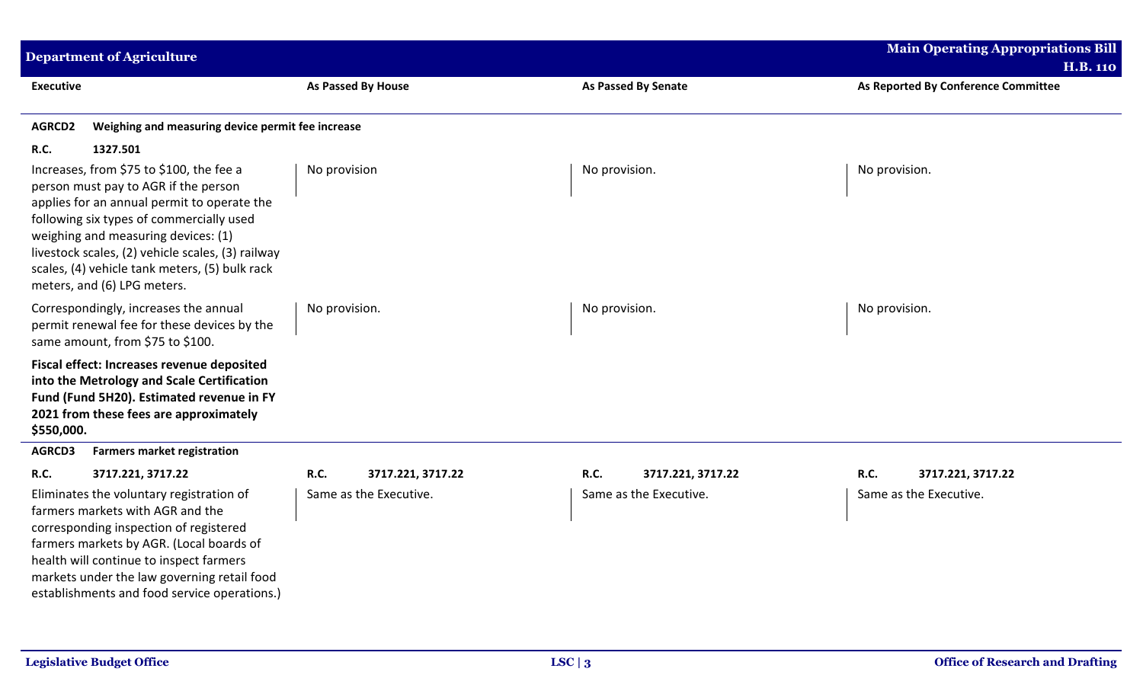| <b>Department of Agriculture</b>                                                                                                                                                                                                                                                                                                                         |                                  |                            | <b>Main Operating Appropriations Bill</b><br><b>H.B. 110</b> |
|----------------------------------------------------------------------------------------------------------------------------------------------------------------------------------------------------------------------------------------------------------------------------------------------------------------------------------------------------------|----------------------------------|----------------------------|--------------------------------------------------------------|
| <b>Executive</b>                                                                                                                                                                                                                                                                                                                                         | As Passed By House               | <b>As Passed By Senate</b> | As Reported By Conference Committee                          |
| Weighing and measuring device permit fee increase<br><b>AGRCD2</b>                                                                                                                                                                                                                                                                                       |                                  |                            |                                                              |
| <b>R.C.</b><br>1327.501                                                                                                                                                                                                                                                                                                                                  |                                  |                            |                                                              |
| Increases, from \$75 to \$100, the fee a<br>person must pay to AGR if the person<br>applies for an annual permit to operate the<br>following six types of commercially used<br>weighing and measuring devices: (1)<br>livestock scales, (2) vehicle scales, (3) railway<br>scales, (4) vehicle tank meters, (5) bulk rack<br>meters, and (6) LPG meters. | No provision                     | No provision.              | No provision.                                                |
| Correspondingly, increases the annual<br>permit renewal fee for these devices by the<br>same amount, from \$75 to \$100.                                                                                                                                                                                                                                 | No provision.                    | No provision.              | No provision.                                                |
| Fiscal effect: Increases revenue deposited<br>into the Metrology and Scale Certification<br>Fund (Fund 5H20). Estimated revenue in FY<br>2021 from these fees are approximately<br>\$550,000.                                                                                                                                                            |                                  |                            |                                                              |
| AGRCD3<br><b>Farmers market registration</b>                                                                                                                                                                                                                                                                                                             |                                  |                            |                                                              |
| <b>R.C.</b><br>3717.221, 3717.22                                                                                                                                                                                                                                                                                                                         | <b>R.C.</b><br>3717.221, 3717.22 | R.C.<br>3717.221, 3717.22  | R.C.<br>3717.221, 3717.22                                    |
| Eliminates the voluntary registration of<br>farmers markets with AGR and the<br>corresponding inspection of registered<br>farmers markets by AGR. (Local boards of<br>health will continue to inspect farmers<br>markets under the law governing retail food<br>establishments and food service operations.)                                             | Same as the Executive.           | Same as the Executive.     | Same as the Executive.                                       |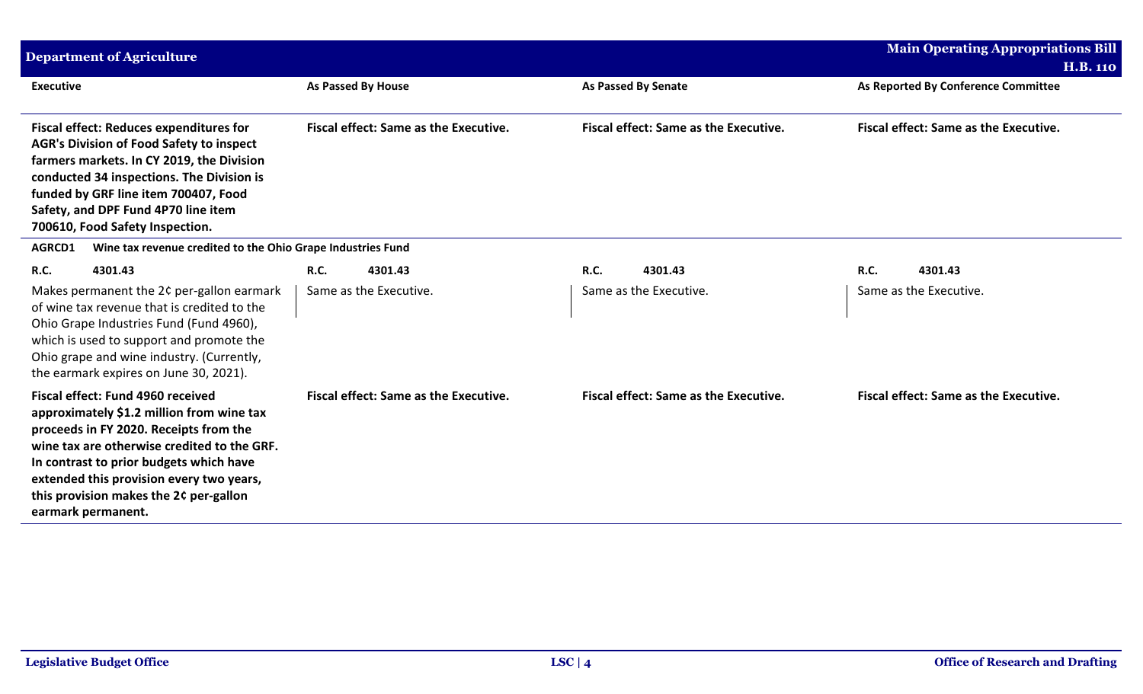| <b>Department of Agriculture</b>                                                                                                                                                                                                                                                                                               |                                              |                                              | <b>Main Operating Appropriations Bill</b><br><b>H.B. 110</b> |
|--------------------------------------------------------------------------------------------------------------------------------------------------------------------------------------------------------------------------------------------------------------------------------------------------------------------------------|----------------------------------------------|----------------------------------------------|--------------------------------------------------------------|
| <b>Executive</b>                                                                                                                                                                                                                                                                                                               | <b>As Passed By House</b>                    | <b>As Passed By Senate</b>                   | As Reported By Conference Committee                          |
| <b>Fiscal effect: Reduces expenditures for</b><br><b>AGR's Division of Food Safety to inspect</b><br>farmers markets. In CY 2019, the Division<br>conducted 34 inspections. The Division is<br>funded by GRF line item 700407, Food<br>Safety, and DPF Fund 4P70 line item<br>700610, Food Safety Inspection.                  | <b>Fiscal effect: Same as the Executive.</b> | <b>Fiscal effect: Same as the Executive.</b> | <b>Fiscal effect: Same as the Executive.</b>                 |
| Wine tax revenue credited to the Ohio Grape Industries Fund<br><b>AGRCD1</b>                                                                                                                                                                                                                                                   |                                              |                                              |                                                              |
| <b>R.C.</b><br>4301.43                                                                                                                                                                                                                                                                                                         | <b>R.C.</b><br>4301.43                       | 4301.43<br><b>R.C.</b>                       | R.C.<br>4301.43                                              |
| Makes permanent the 2¢ per-gallon earmark<br>of wine tax revenue that is credited to the<br>Ohio Grape Industries Fund (Fund 4960),<br>which is used to support and promote the<br>Ohio grape and wine industry. (Currently,<br>the earmark expires on June 30, 2021).                                                         | Same as the Executive.                       | Same as the Executive.                       | Same as the Executive.                                       |
| Fiscal effect: Fund 4960 received<br>approximately \$1.2 million from wine tax<br>proceeds in FY 2020. Receipts from the<br>wine tax are otherwise credited to the GRF.<br>In contrast to prior budgets which have<br>extended this provision every two years,<br>this provision makes the 2¢ per-gallon<br>earmark permanent. | Fiscal effect: Same as the Executive.        | Fiscal effect: Same as the Executive.        | <b>Fiscal effect: Same as the Executive.</b>                 |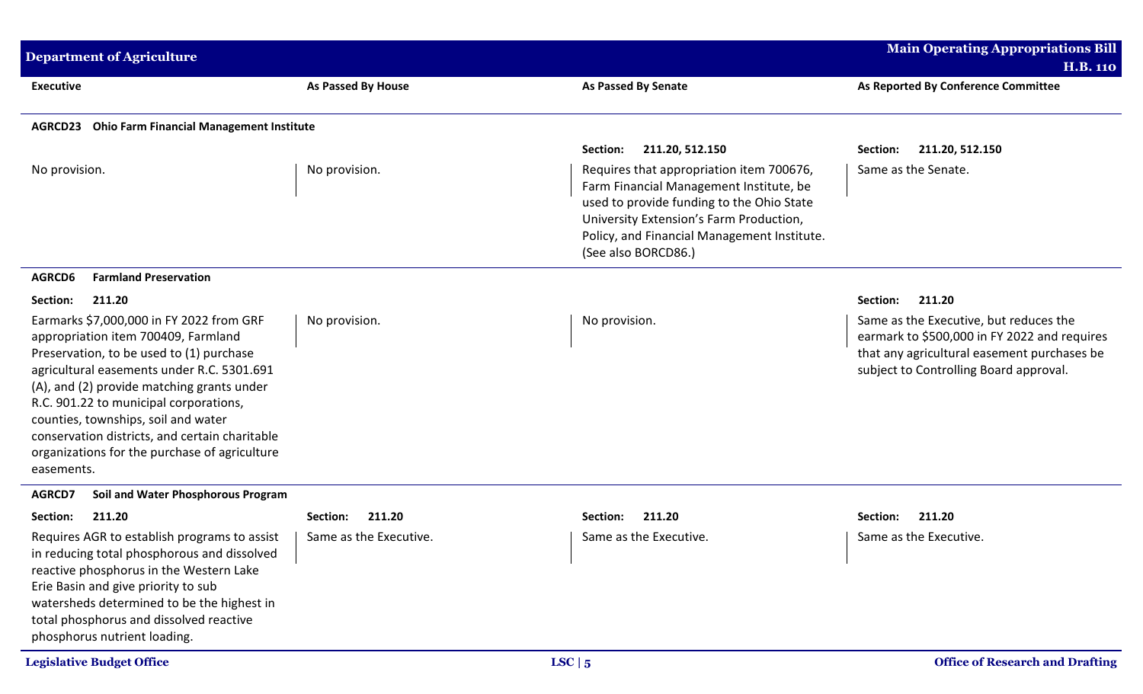| <b>Department of Agriculture</b>                                                                                                                                                                                                                                                                                                                                                                                          |                                              |                                                                                                                                                                                                                                                   | <b>Main Operating Appropriations Bill</b><br><b>H.B. 110</b>                                                                                                                    |
|---------------------------------------------------------------------------------------------------------------------------------------------------------------------------------------------------------------------------------------------------------------------------------------------------------------------------------------------------------------------------------------------------------------------------|----------------------------------------------|---------------------------------------------------------------------------------------------------------------------------------------------------------------------------------------------------------------------------------------------------|---------------------------------------------------------------------------------------------------------------------------------------------------------------------------------|
| <b>Executive</b>                                                                                                                                                                                                                                                                                                                                                                                                          | <b>As Passed By House</b>                    | <b>As Passed By Senate</b>                                                                                                                                                                                                                        | As Reported By Conference Committee                                                                                                                                             |
| <b>Ohio Farm Financial Management Institute</b><br><b>AGRCD23</b>                                                                                                                                                                                                                                                                                                                                                         |                                              |                                                                                                                                                                                                                                                   |                                                                                                                                                                                 |
|                                                                                                                                                                                                                                                                                                                                                                                                                           |                                              | 211.20, 512.150<br>Section:                                                                                                                                                                                                                       | 211.20, 512.150<br>Section:                                                                                                                                                     |
| No provision.                                                                                                                                                                                                                                                                                                                                                                                                             | No provision.                                | Requires that appropriation item 700676,<br>Farm Financial Management Institute, be<br>used to provide funding to the Ohio State<br>University Extension's Farm Production,<br>Policy, and Financial Management Institute.<br>(See also BORCD86.) | Same as the Senate.                                                                                                                                                             |
| <b>Farmland Preservation</b><br>AGRCD6                                                                                                                                                                                                                                                                                                                                                                                    |                                              |                                                                                                                                                                                                                                                   |                                                                                                                                                                                 |
| Section:<br>211.20                                                                                                                                                                                                                                                                                                                                                                                                        |                                              |                                                                                                                                                                                                                                                   | 211.20<br>Section:                                                                                                                                                              |
| Earmarks \$7,000,000 in FY 2022 from GRF<br>appropriation item 700409, Farmland<br>Preservation, to be used to (1) purchase<br>agricultural easements under R.C. 5301.691<br>(A), and (2) provide matching grants under<br>R.C. 901.22 to municipal corporations,<br>counties, townships, soil and water<br>conservation districts, and certain charitable<br>organizations for the purchase of agriculture<br>easements. | No provision.                                | No provision.                                                                                                                                                                                                                                     | Same as the Executive, but reduces the<br>earmark to \$500,000 in FY 2022 and requires<br>that any agricultural easement purchases be<br>subject to Controlling Board approval. |
| AGRCD7<br>Soil and Water Phosphorous Program                                                                                                                                                                                                                                                                                                                                                                              |                                              |                                                                                                                                                                                                                                                   |                                                                                                                                                                                 |
| 211.20<br>Section:<br>Requires AGR to establish programs to assist<br>in reducing total phosphorous and dissolved<br>reactive phosphorus in the Western Lake<br>Erie Basin and give priority to sub<br>watersheds determined to be the highest in<br>total phosphorus and dissolved reactive<br>phosphorus nutrient loading.                                                                                              | 211.20<br>Section:<br>Same as the Executive. | 211.20<br>Section:<br>Same as the Executive.                                                                                                                                                                                                      | 211.20<br>Section:<br>Same as the Executive.                                                                                                                                    |
| <b>Legislative Budget Office</b>                                                                                                                                                                                                                                                                                                                                                                                          |                                              | LSC   5                                                                                                                                                                                                                                           | <b>Office of Research and Drafting</b>                                                                                                                                          |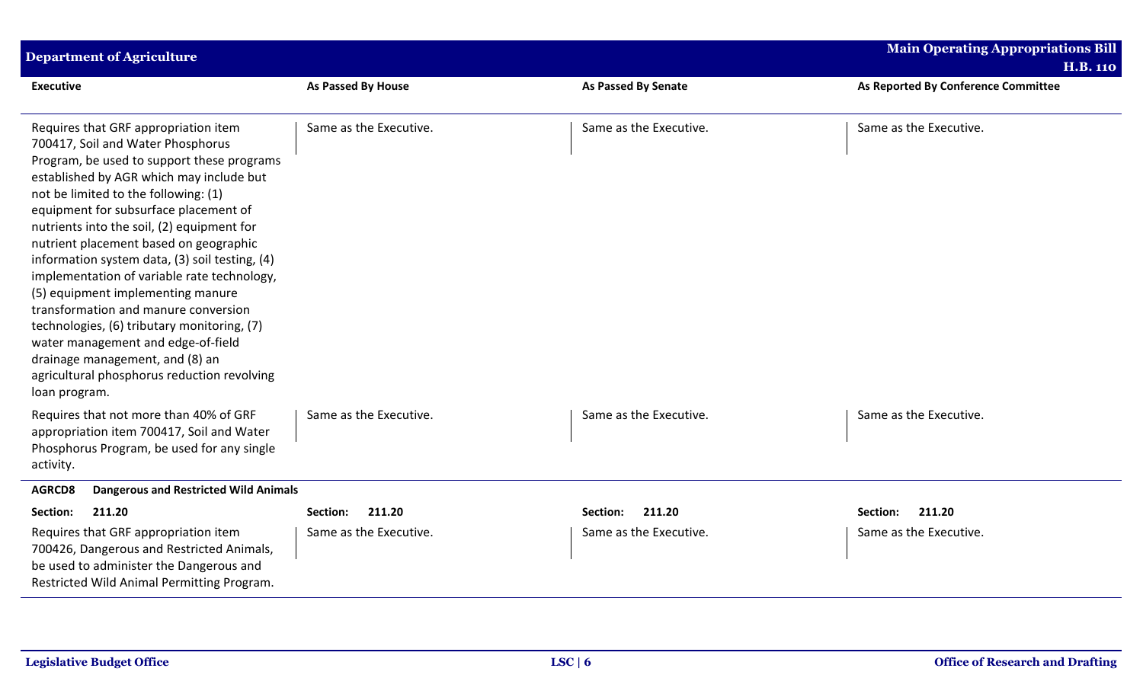| <b>Department of Agriculture</b>                                                                                                                                                                                                                                                                                                                                                                                                                                                                                                                                                                                                                                                                                   |                           |                            | <b>Main Operating Appropriations Bill</b><br><b>H.B. 110</b> |  |  |
|--------------------------------------------------------------------------------------------------------------------------------------------------------------------------------------------------------------------------------------------------------------------------------------------------------------------------------------------------------------------------------------------------------------------------------------------------------------------------------------------------------------------------------------------------------------------------------------------------------------------------------------------------------------------------------------------------------------------|---------------------------|----------------------------|--------------------------------------------------------------|--|--|
| <b>Executive</b>                                                                                                                                                                                                                                                                                                                                                                                                                                                                                                                                                                                                                                                                                                   | <b>As Passed By House</b> | <b>As Passed By Senate</b> | As Reported By Conference Committee                          |  |  |
| Requires that GRF appropriation item<br>700417, Soil and Water Phosphorus<br>Program, be used to support these programs<br>established by AGR which may include but<br>not be limited to the following: (1)<br>equipment for subsurface placement of<br>nutrients into the soil, (2) equipment for<br>nutrient placement based on geographic<br>information system data, (3) soil testing, (4)<br>implementation of variable rate technology,<br>(5) equipment implementing manure<br>transformation and manure conversion<br>technologies, (6) tributary monitoring, (7)<br>water management and edge-of-field<br>drainage management, and (8) an<br>agricultural phosphorus reduction revolving<br>loan program. | Same as the Executive.    | Same as the Executive.     | Same as the Executive.                                       |  |  |
| Requires that not more than 40% of GRF<br>appropriation item 700417, Soil and Water<br>Phosphorus Program, be used for any single<br>activity.                                                                                                                                                                                                                                                                                                                                                                                                                                                                                                                                                                     | Same as the Executive.    | Same as the Executive.     | Same as the Executive.                                       |  |  |
| <b>Dangerous and Restricted Wild Animals</b><br>AGRCD8                                                                                                                                                                                                                                                                                                                                                                                                                                                                                                                                                                                                                                                             |                           |                            |                                                              |  |  |
| 211.20<br>Section:                                                                                                                                                                                                                                                                                                                                                                                                                                                                                                                                                                                                                                                                                                 | 211.20<br>Section:        | 211.20<br>Section:         | 211.20<br>Section:                                           |  |  |
| Requires that GRF appropriation item<br>700426, Dangerous and Restricted Animals,<br>be used to administer the Dangerous and<br>Restricted Wild Animal Permitting Program.                                                                                                                                                                                                                                                                                                                                                                                                                                                                                                                                         | Same as the Executive.    | Same as the Executive.     | Same as the Executive.                                       |  |  |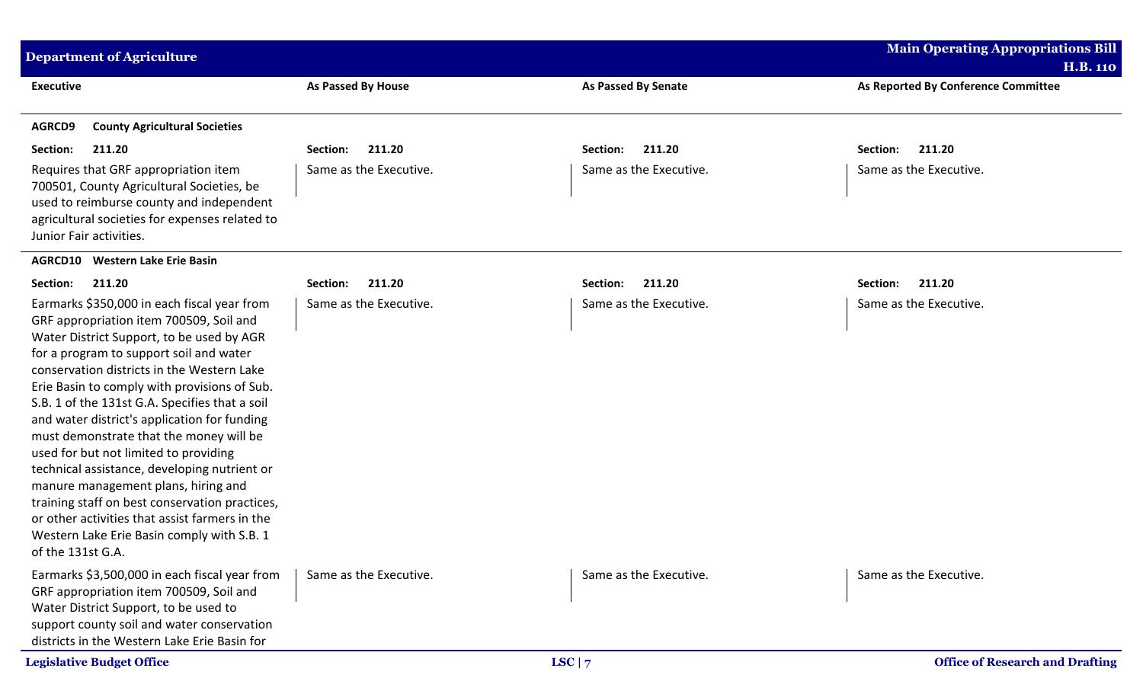| <b>Department of Agriculture</b>                                                                                                                                                                                                                                                                                                                                                                                                                                                                                                                                                                                                                                                                                                 |                           |                            | <b>Main Operating Appropriations Bill</b><br><b>H.B. 110</b> |
|----------------------------------------------------------------------------------------------------------------------------------------------------------------------------------------------------------------------------------------------------------------------------------------------------------------------------------------------------------------------------------------------------------------------------------------------------------------------------------------------------------------------------------------------------------------------------------------------------------------------------------------------------------------------------------------------------------------------------------|---------------------------|----------------------------|--------------------------------------------------------------|
| <b>Executive</b>                                                                                                                                                                                                                                                                                                                                                                                                                                                                                                                                                                                                                                                                                                                 | <b>As Passed By House</b> | <b>As Passed By Senate</b> | As Reported By Conference Committee                          |
| AGRCD9<br><b>County Agricultural Societies</b>                                                                                                                                                                                                                                                                                                                                                                                                                                                                                                                                                                                                                                                                                   |                           |                            |                                                              |
| Section:<br>211.20                                                                                                                                                                                                                                                                                                                                                                                                                                                                                                                                                                                                                                                                                                               | 211.20<br>Section:        | 211.20<br>Section:         | 211.20<br>Section:                                           |
| Requires that GRF appropriation item<br>700501, County Agricultural Societies, be<br>used to reimburse county and independent<br>agricultural societies for expenses related to<br>Junior Fair activities.                                                                                                                                                                                                                                                                                                                                                                                                                                                                                                                       | Same as the Executive.    | Same as the Executive.     | Same as the Executive.                                       |
| <b>Western Lake Erie Basin</b><br><b>AGRCD10</b>                                                                                                                                                                                                                                                                                                                                                                                                                                                                                                                                                                                                                                                                                 |                           |                            |                                                              |
| Section:<br>211.20                                                                                                                                                                                                                                                                                                                                                                                                                                                                                                                                                                                                                                                                                                               | 211.20<br>Section:        | 211.20<br>Section:         | Section:<br>211.20                                           |
| Earmarks \$350,000 in each fiscal year from<br>GRF appropriation item 700509, Soil and<br>Water District Support, to be used by AGR<br>for a program to support soil and water<br>conservation districts in the Western Lake<br>Erie Basin to comply with provisions of Sub.<br>S.B. 1 of the 131st G.A. Specifies that a soil<br>and water district's application for funding<br>must demonstrate that the money will be<br>used for but not limited to providing<br>technical assistance, developing nutrient or<br>manure management plans, hiring and<br>training staff on best conservation practices,<br>or other activities that assist farmers in the<br>Western Lake Erie Basin comply with S.B. 1<br>of the 131st G.A. | Same as the Executive.    | Same as the Executive.     | Same as the Executive.                                       |
| Earmarks \$3,500,000 in each fiscal year from<br>GRF appropriation item 700509, Soil and<br>Water District Support, to be used to<br>support county soil and water conservation<br>districts in the Western Lake Erie Basin for                                                                                                                                                                                                                                                                                                                                                                                                                                                                                                  | Same as the Executive.    | Same as the Executive.     | Same as the Executive.                                       |
| <b>Legislative Budget Office</b>                                                                                                                                                                                                                                                                                                                                                                                                                                                                                                                                                                                                                                                                                                 |                           | LSC $ 7$                   | <b>Office of Research and Drafting</b>                       |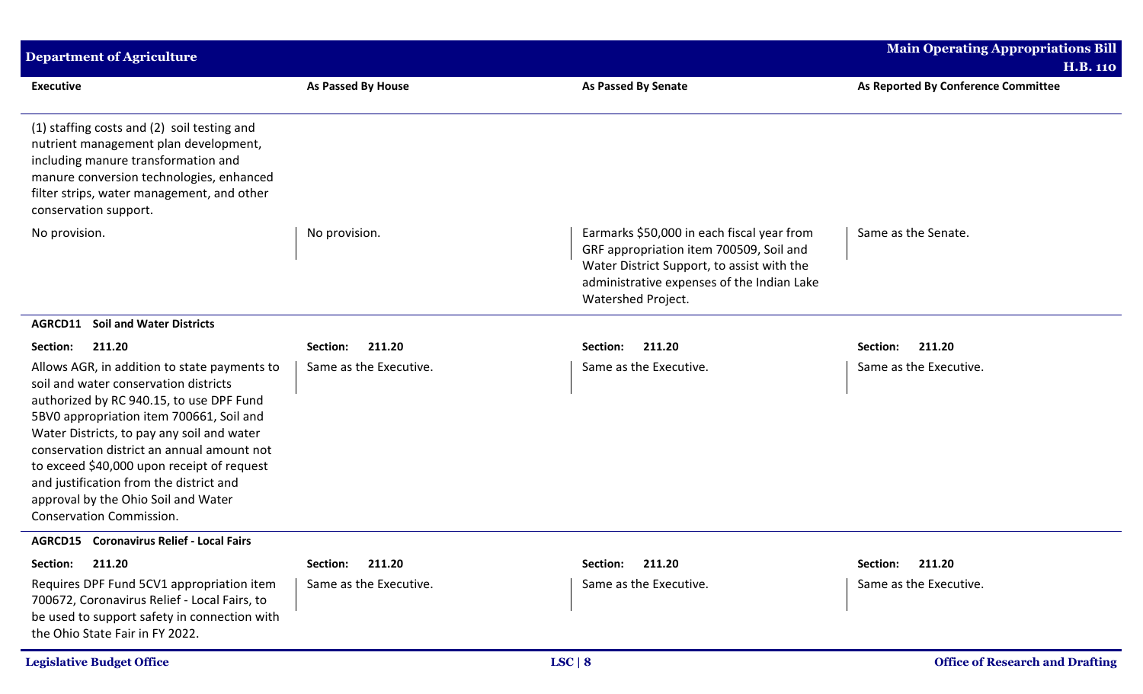| <b>Department of Agriculture</b>                                                                                                                                                                                                                                                                                                                                                                                                             |                           |                                                                                                                                                                                                         | <b>Main Operating Appropriations Bill</b>              |
|----------------------------------------------------------------------------------------------------------------------------------------------------------------------------------------------------------------------------------------------------------------------------------------------------------------------------------------------------------------------------------------------------------------------------------------------|---------------------------|---------------------------------------------------------------------------------------------------------------------------------------------------------------------------------------------------------|--------------------------------------------------------|
| <b>Executive</b>                                                                                                                                                                                                                                                                                                                                                                                                                             | <b>As Passed By House</b> | <b>As Passed By Senate</b>                                                                                                                                                                              | <b>H.B. 110</b><br>As Reported By Conference Committee |
| (1) staffing costs and (2) soil testing and<br>nutrient management plan development,<br>including manure transformation and<br>manure conversion technologies, enhanced<br>filter strips, water management, and other<br>conservation support.                                                                                                                                                                                               |                           |                                                                                                                                                                                                         |                                                        |
| No provision.                                                                                                                                                                                                                                                                                                                                                                                                                                | No provision.             | Earmarks \$50,000 in each fiscal year from<br>GRF appropriation item 700509, Soil and<br>Water District Support, to assist with the<br>administrative expenses of the Indian Lake<br>Watershed Project. | Same as the Senate.                                    |
| <b>Soil and Water Districts</b><br>AGRCD11                                                                                                                                                                                                                                                                                                                                                                                                   |                           |                                                                                                                                                                                                         |                                                        |
| Section:<br>211.20                                                                                                                                                                                                                                                                                                                                                                                                                           | 211.20<br>Section:        | Section:<br>211.20                                                                                                                                                                                      | Section:<br>211.20                                     |
| Allows AGR, in addition to state payments to<br>soil and water conservation districts<br>authorized by RC 940.15, to use DPF Fund<br>5BV0 appropriation item 700661, Soil and<br>Water Districts, to pay any soil and water<br>conservation district an annual amount not<br>to exceed \$40,000 upon receipt of request<br>and justification from the district and<br>approval by the Ohio Soil and Water<br><b>Conservation Commission.</b> | Same as the Executive.    | Same as the Executive.                                                                                                                                                                                  | Same as the Executive.                                 |
| <b>AGRCD15</b> Coronavirus Relief - Local Fairs                                                                                                                                                                                                                                                                                                                                                                                              |                           |                                                                                                                                                                                                         |                                                        |
| 211.20<br>Section:                                                                                                                                                                                                                                                                                                                                                                                                                           | 211.20<br>Section:        | 211.20<br>Section:                                                                                                                                                                                      | 211.20<br>Section:                                     |
| Requires DPF Fund 5CV1 appropriation item<br>700672, Coronavirus Relief - Local Fairs, to<br>be used to support safety in connection with<br>the Ohio State Fair in FY 2022.                                                                                                                                                                                                                                                                 | Same as the Executive.    | Same as the Executive.                                                                                                                                                                                  | Same as the Executive.                                 |
| <b>Legislative Budget Office</b>                                                                                                                                                                                                                                                                                                                                                                                                             |                           | LSC   8                                                                                                                                                                                                 | <b>Office of Research and Drafting</b>                 |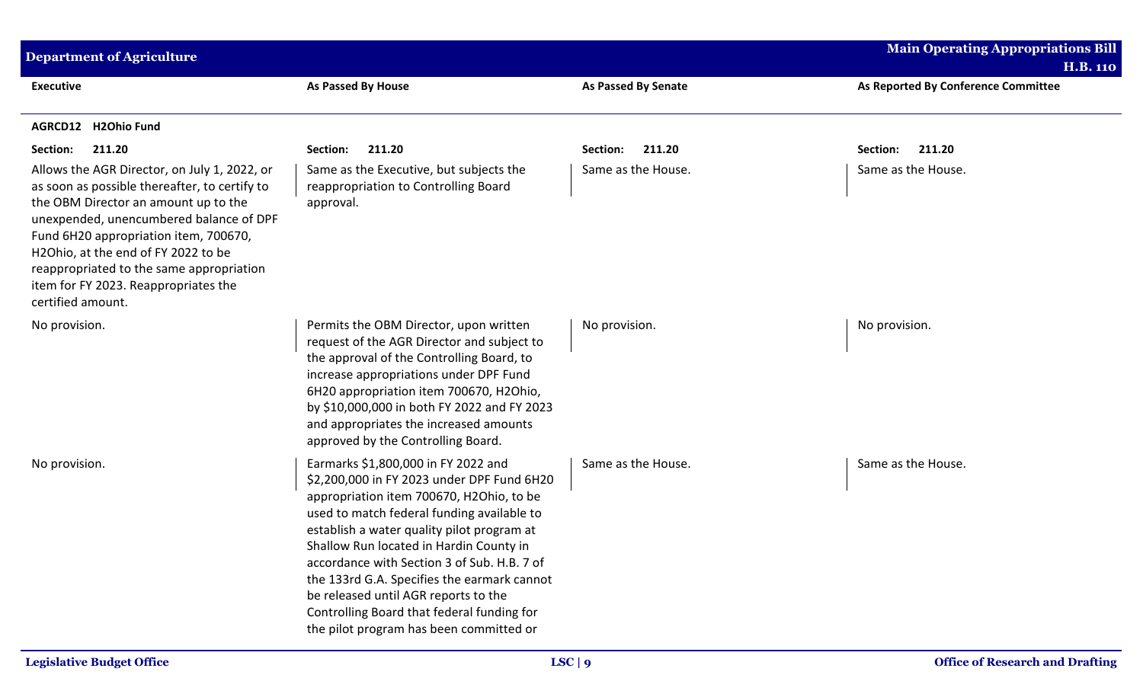| <b>Department of Agriculture</b>                                                                                                                                                                                                                                                                                                                                          |                                                                                                                                                                                                                                                                                                                                                                                                                                                                                                     | <b>Main Operating Appropriations Bill</b> |                                                        |  |
|---------------------------------------------------------------------------------------------------------------------------------------------------------------------------------------------------------------------------------------------------------------------------------------------------------------------------------------------------------------------------|-----------------------------------------------------------------------------------------------------------------------------------------------------------------------------------------------------------------------------------------------------------------------------------------------------------------------------------------------------------------------------------------------------------------------------------------------------------------------------------------------------|-------------------------------------------|--------------------------------------------------------|--|
| <b>Executive</b>                                                                                                                                                                                                                                                                                                                                                          | As Passed By House                                                                                                                                                                                                                                                                                                                                                                                                                                                                                  | <b>As Passed By Senate</b>                | <b>H.B. 110</b><br>As Reported By Conference Committee |  |
| AGRCD12 H2Ohio Fund                                                                                                                                                                                                                                                                                                                                                       |                                                                                                                                                                                                                                                                                                                                                                                                                                                                                                     |                                           |                                                        |  |
| 211.20<br>Section:                                                                                                                                                                                                                                                                                                                                                        | 211.20<br>Section:                                                                                                                                                                                                                                                                                                                                                                                                                                                                                  | Section:<br>211.20                        | 211.20<br>Section:                                     |  |
| Allows the AGR Director, on July 1, 2022, or<br>as soon as possible thereafter, to certify to<br>the OBM Director an amount up to the<br>unexpended, unencumbered balance of DPF<br>Fund 6H20 appropriation item, 700670,<br>H2Ohio, at the end of FY 2022 to be<br>reappropriated to the same appropriation<br>item for FY 2023. Reappropriates the<br>certified amount. | Same as the Executive, but subjects the<br>reappropriation to Controlling Board<br>approval.                                                                                                                                                                                                                                                                                                                                                                                                        | Same as the House.                        | Same as the House.                                     |  |
| No provision.                                                                                                                                                                                                                                                                                                                                                             | Permits the OBM Director, upon written<br>request of the AGR Director and subject to<br>the approval of the Controlling Board, to<br>increase appropriations under DPF Fund<br>6H20 appropriation item 700670, H2Ohio,<br>by \$10,000,000 in both FY 2022 and FY 2023<br>and appropriates the increased amounts<br>approved by the Controlling Board.                                                                                                                                               | No provision.                             | No provision.                                          |  |
| No provision.                                                                                                                                                                                                                                                                                                                                                             | Earmarks \$1,800,000 in FY 2022 and<br>\$2,200,000 in FY 2023 under DPF Fund 6H20<br>appropriation item 700670, H2Ohio, to be<br>used to match federal funding available to<br>establish a water quality pilot program at<br>Shallow Run located in Hardin County in<br>accordance with Section 3 of Sub. H.B. 7 of<br>the 133rd G.A. Specifies the earmark cannot<br>be released until AGR reports to the<br>Controlling Board that federal funding for<br>the pilot program has been committed or | Same as the House.                        | Same as the House.                                     |  |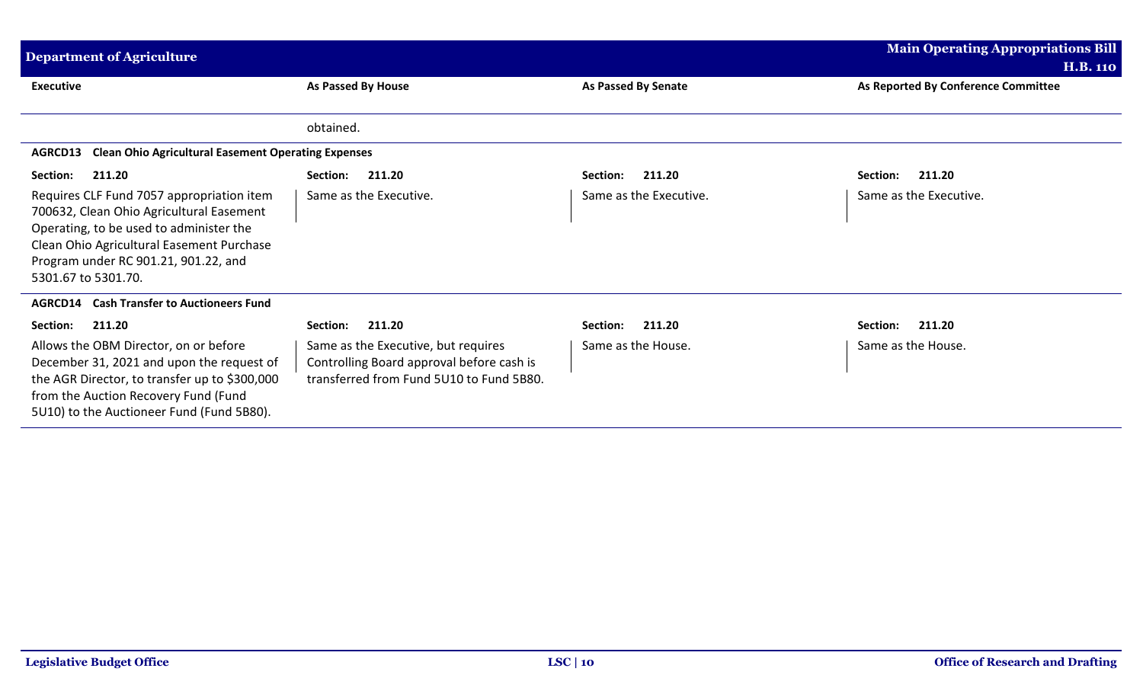| <b>Main Operating Appropriations Bill</b><br><b>Department of Agriculture</b><br><b>H.B. 110</b>                                                                                                                                             |                                                                                                                              |                        |                                     |  |  |
|----------------------------------------------------------------------------------------------------------------------------------------------------------------------------------------------------------------------------------------------|------------------------------------------------------------------------------------------------------------------------------|------------------------|-------------------------------------|--|--|
| <b>Executive</b>                                                                                                                                                                                                                             | As Passed By House                                                                                                           | As Passed By Senate    | As Reported By Conference Committee |  |  |
|                                                                                                                                                                                                                                              | obtained.                                                                                                                    |                        |                                     |  |  |
| <b>Clean Ohio Agricultural Easement Operating Expenses</b><br>AGRCD13                                                                                                                                                                        |                                                                                                                              |                        |                                     |  |  |
| 211.20<br>Section:                                                                                                                                                                                                                           | 211.20<br>Section:                                                                                                           | 211.20<br>Section:     | 211.20<br>Section:                  |  |  |
| Requires CLF Fund 7057 appropriation item<br>700632, Clean Ohio Agricultural Easement<br>Operating, to be used to administer the<br>Clean Ohio Agricultural Easement Purchase<br>Program under RC 901.21, 901.22, and<br>5301.67 to 5301.70. | Same as the Executive.                                                                                                       | Same as the Executive. | Same as the Executive.              |  |  |
| <b>AGRCD14</b> Cash Transfer to Auctioneers Fund                                                                                                                                                                                             |                                                                                                                              |                        |                                     |  |  |
| Section:<br>211.20                                                                                                                                                                                                                           | 211.20<br>Section:                                                                                                           | 211.20<br>Section:     | 211.20<br>Section:                  |  |  |
| Allows the OBM Director, on or before<br>December 31, 2021 and upon the request of<br>the AGR Director, to transfer up to \$300,000<br>from the Auction Recovery Fund (Fund<br>5U10) to the Auctioneer Fund (Fund 5B80).                     | Same as the Executive, but requires<br>Controlling Board approval before cash is<br>transferred from Fund 5U10 to Fund 5B80. | Same as the House.     | Same as the House.                  |  |  |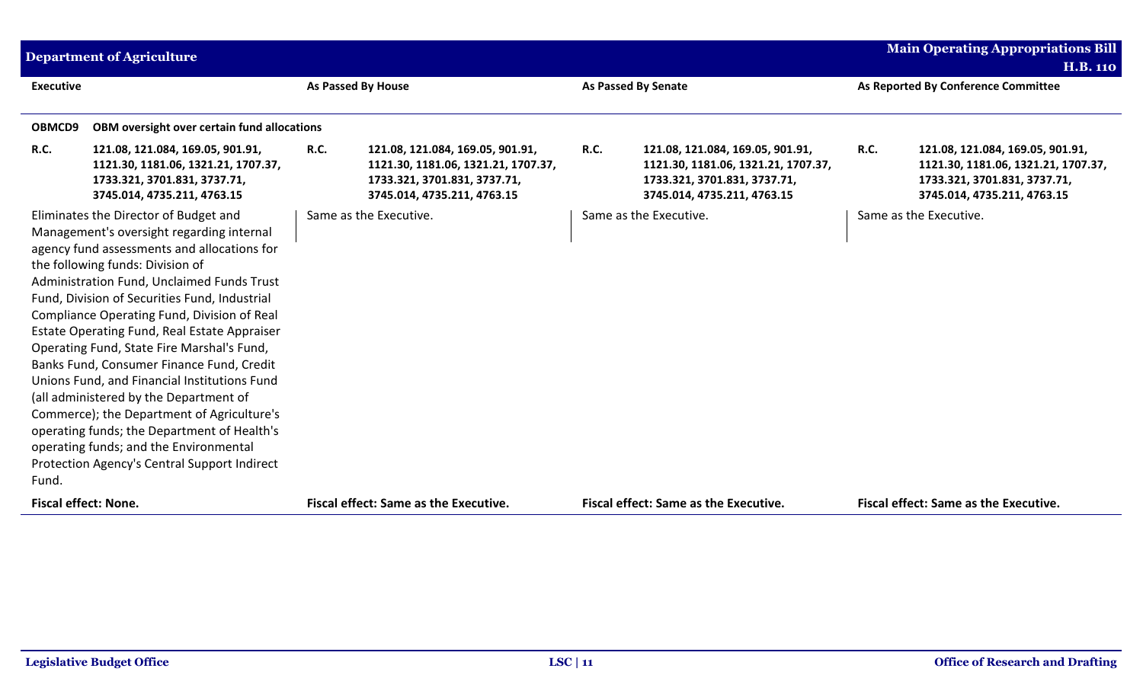|                             | <b>Department of Agriculture</b>                                                                                                                                                                                                                                                                                                                                                                                                                                                                                                                                                                                                                                                                                                                |                    |                                                                                                                                        |             |                                                                                                                                        |             | <b>Main Operating Appropriations Bill</b>                                                                                              |
|-----------------------------|-------------------------------------------------------------------------------------------------------------------------------------------------------------------------------------------------------------------------------------------------------------------------------------------------------------------------------------------------------------------------------------------------------------------------------------------------------------------------------------------------------------------------------------------------------------------------------------------------------------------------------------------------------------------------------------------------------------------------------------------------|--------------------|----------------------------------------------------------------------------------------------------------------------------------------|-------------|----------------------------------------------------------------------------------------------------------------------------------------|-------------|----------------------------------------------------------------------------------------------------------------------------------------|
|                             |                                                                                                                                                                                                                                                                                                                                                                                                                                                                                                                                                                                                                                                                                                                                                 |                    |                                                                                                                                        |             |                                                                                                                                        |             | <b>H.B. 110</b>                                                                                                                        |
| <b>Executive</b>            |                                                                                                                                                                                                                                                                                                                                                                                                                                                                                                                                                                                                                                                                                                                                                 | As Passed By House |                                                                                                                                        |             | <b>As Passed By Senate</b>                                                                                                             |             | As Reported By Conference Committee                                                                                                    |
|                             |                                                                                                                                                                                                                                                                                                                                                                                                                                                                                                                                                                                                                                                                                                                                                 |                    |                                                                                                                                        |             |                                                                                                                                        |             |                                                                                                                                        |
| OBMCD9                      | OBM oversight over certain fund allocations                                                                                                                                                                                                                                                                                                                                                                                                                                                                                                                                                                                                                                                                                                     |                    |                                                                                                                                        |             |                                                                                                                                        |             |                                                                                                                                        |
| <b>R.C.</b>                 | 121.08, 121.084, 169.05, 901.91,<br>1121.30, 1181.06, 1321.21, 1707.37,<br>1733.321, 3701.831, 3737.71,<br>3745.014, 4735.211, 4763.15                                                                                                                                                                                                                                                                                                                                                                                                                                                                                                                                                                                                          | <b>R.C.</b>        | 121.08, 121.084, 169.05, 901.91,<br>1121.30, 1181.06, 1321.21, 1707.37,<br>1733.321, 3701.831, 3737.71,<br>3745.014, 4735.211, 4763.15 | <b>R.C.</b> | 121.08, 121.084, 169.05, 901.91,<br>1121.30, 1181.06, 1321.21, 1707.37,<br>1733.321, 3701.831, 3737.71,<br>3745.014, 4735.211, 4763.15 | <b>R.C.</b> | 121.08, 121.084, 169.05, 901.91,<br>1121.30, 1181.06, 1321.21, 1707.37,<br>1733.321, 3701.831, 3737.71,<br>3745.014, 4735.211, 4763.15 |
| Fund.                       | Eliminates the Director of Budget and<br>Management's oversight regarding internal<br>agency fund assessments and allocations for<br>the following funds: Division of<br>Administration Fund, Unclaimed Funds Trust<br>Fund, Division of Securities Fund, Industrial<br>Compliance Operating Fund, Division of Real<br>Estate Operating Fund, Real Estate Appraiser<br>Operating Fund, State Fire Marshal's Fund,<br>Banks Fund, Consumer Finance Fund, Credit<br>Unions Fund, and Financial Institutions Fund<br>(all administered by the Department of<br>Commerce); the Department of Agriculture's<br>operating funds; the Department of Health's<br>operating funds; and the Environmental<br>Protection Agency's Central Support Indirect |                    | Same as the Executive.                                                                                                                 |             | Same as the Executive.                                                                                                                 |             | Same as the Executive.                                                                                                                 |
| <b>Fiscal effect: None.</b> |                                                                                                                                                                                                                                                                                                                                                                                                                                                                                                                                                                                                                                                                                                                                                 |                    | <b>Fiscal effect: Same as the Executive.</b>                                                                                           |             | <b>Fiscal effect: Same as the Executive.</b>                                                                                           |             | <b>Fiscal effect: Same as the Executive.</b>                                                                                           |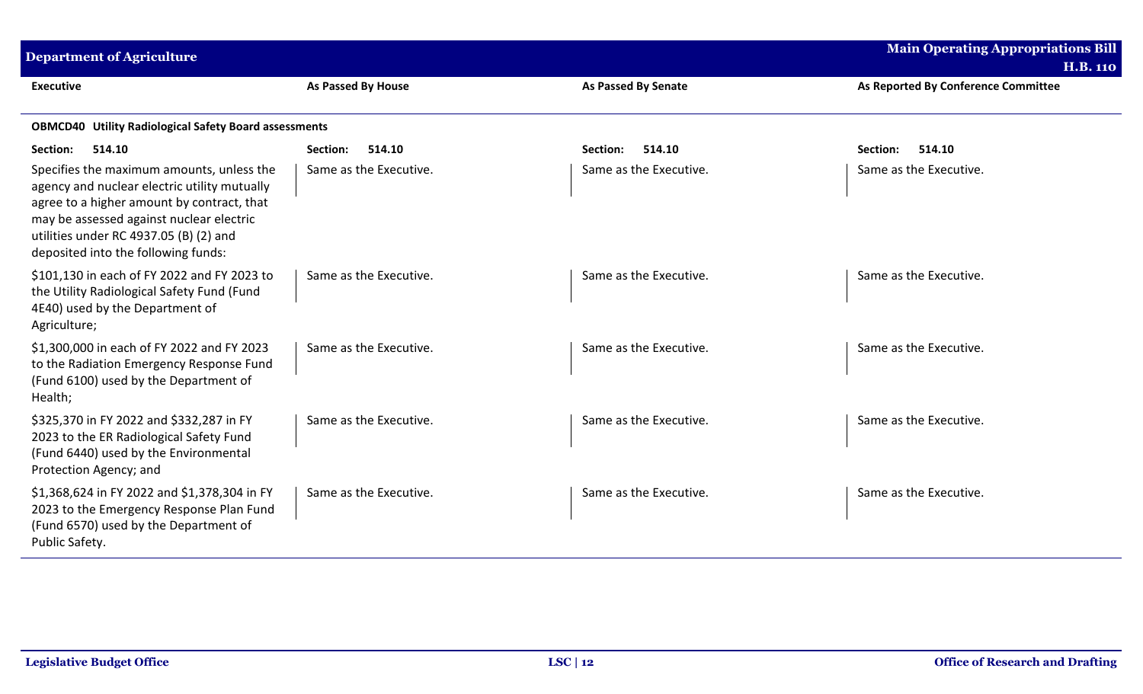| <b>Department of Agriculture</b>                                                                                                                                                                                                                                     |                        |                            | <b>Main Operating Appropriations Bill</b><br><b>H.B. 110</b> |
|----------------------------------------------------------------------------------------------------------------------------------------------------------------------------------------------------------------------------------------------------------------------|------------------------|----------------------------|--------------------------------------------------------------|
| <b>Executive</b>                                                                                                                                                                                                                                                     | As Passed By House     | <b>As Passed By Senate</b> | As Reported By Conference Committee                          |
| <b>OBMCD40 Utility Radiological Safety Board assessments</b>                                                                                                                                                                                                         |                        |                            |                                                              |
| 514.10<br>Section:                                                                                                                                                                                                                                                   | 514.10<br>Section:     | 514.10<br>Section:         | 514.10<br>Section:                                           |
| Specifies the maximum amounts, unless the<br>agency and nuclear electric utility mutually<br>agree to a higher amount by contract, that<br>may be assessed against nuclear electric<br>utilities under RC 4937.05 (B) (2) and<br>deposited into the following funds: | Same as the Executive. | Same as the Executive.     | Same as the Executive.                                       |
| \$101,130 in each of FY 2022 and FY 2023 to<br>the Utility Radiological Safety Fund (Fund<br>4E40) used by the Department of<br>Agriculture;                                                                                                                         | Same as the Executive. | Same as the Executive.     | Same as the Executive.                                       |
| \$1,300,000 in each of FY 2022 and FY 2023<br>to the Radiation Emergency Response Fund<br>(Fund 6100) used by the Department of<br>Health;                                                                                                                           | Same as the Executive. | Same as the Executive.     | Same as the Executive.                                       |
| \$325,370 in FY 2022 and \$332,287 in FY<br>2023 to the ER Radiological Safety Fund<br>(Fund 6440) used by the Environmental<br>Protection Agency; and                                                                                                               | Same as the Executive. | Same as the Executive.     | Same as the Executive.                                       |
| \$1,368,624 in FY 2022 and \$1,378,304 in FY<br>2023 to the Emergency Response Plan Fund<br>(Fund 6570) used by the Department of<br>Public Safety.                                                                                                                  | Same as the Executive. | Same as the Executive.     | Same as the Executive.                                       |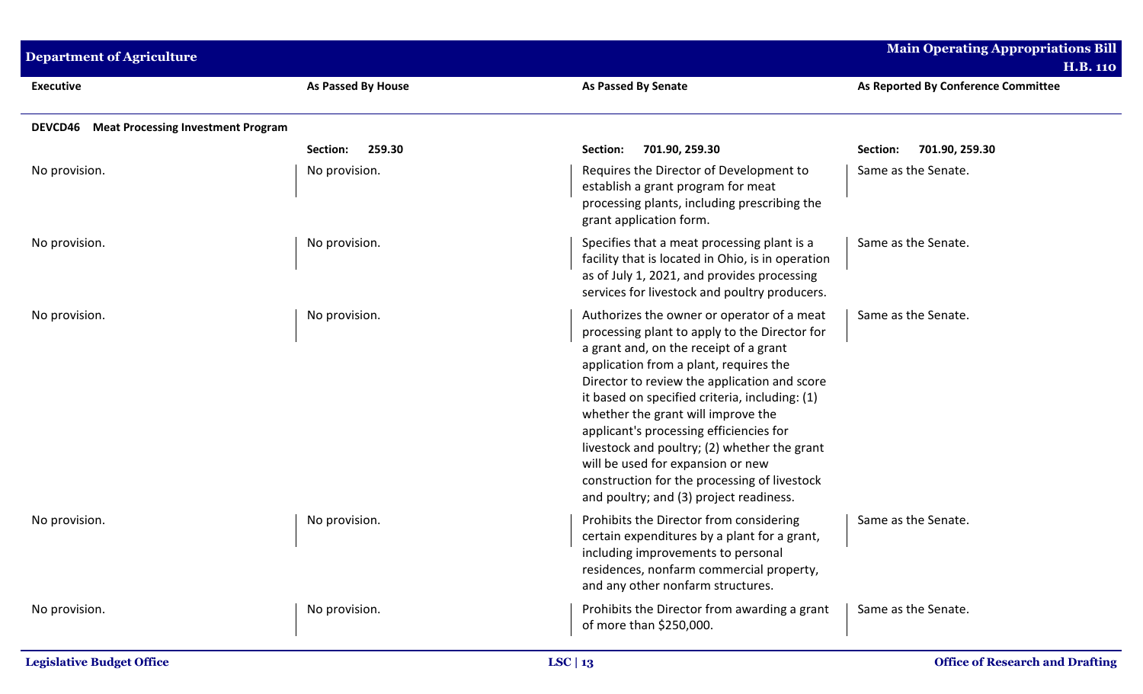| <b>Department of Agriculture</b>           | <b>Main Operating Appropriations Bill</b><br><b>H.B. 110</b> |                                                                                                                                                                                                                                                                                                                                                                                                                                                                                                                                                    |                                     |
|--------------------------------------------|--------------------------------------------------------------|----------------------------------------------------------------------------------------------------------------------------------------------------------------------------------------------------------------------------------------------------------------------------------------------------------------------------------------------------------------------------------------------------------------------------------------------------------------------------------------------------------------------------------------------------|-------------------------------------|
| <b>Executive</b>                           | <b>As Passed By House</b>                                    | <b>As Passed By Senate</b>                                                                                                                                                                                                                                                                                                                                                                                                                                                                                                                         | As Reported By Conference Committee |
| DEVCD46 Meat Processing Investment Program |                                                              |                                                                                                                                                                                                                                                                                                                                                                                                                                                                                                                                                    |                                     |
|                                            | 259.30<br>Section:                                           | 701.90, 259.30<br>Section:                                                                                                                                                                                                                                                                                                                                                                                                                                                                                                                         | Section:<br>701.90, 259.30          |
| No provision.                              | No provision.                                                | Requires the Director of Development to<br>establish a grant program for meat<br>processing plants, including prescribing the<br>grant application form.                                                                                                                                                                                                                                                                                                                                                                                           | Same as the Senate.                 |
| No provision.                              | No provision.                                                | Specifies that a meat processing plant is a<br>facility that is located in Ohio, is in operation<br>as of July 1, 2021, and provides processing<br>services for livestock and poultry producers.                                                                                                                                                                                                                                                                                                                                                   | Same as the Senate.                 |
| No provision.                              | No provision.                                                | Authorizes the owner or operator of a meat<br>processing plant to apply to the Director for<br>a grant and, on the receipt of a grant<br>application from a plant, requires the<br>Director to review the application and score<br>it based on specified criteria, including: (1)<br>whether the grant will improve the<br>applicant's processing efficiencies for<br>livestock and poultry; (2) whether the grant<br>will be used for expansion or new<br>construction for the processing of livestock<br>and poultry; and (3) project readiness. | Same as the Senate.                 |
| No provision.                              | No provision.                                                | Prohibits the Director from considering<br>certain expenditures by a plant for a grant,<br>including improvements to personal<br>residences, nonfarm commercial property,<br>and any other nonfarm structures.                                                                                                                                                                                                                                                                                                                                     | Same as the Senate.                 |
| No provision.                              | No provision.                                                | Prohibits the Director from awarding a grant<br>of more than \$250,000.                                                                                                                                                                                                                                                                                                                                                                                                                                                                            | Same as the Senate.                 |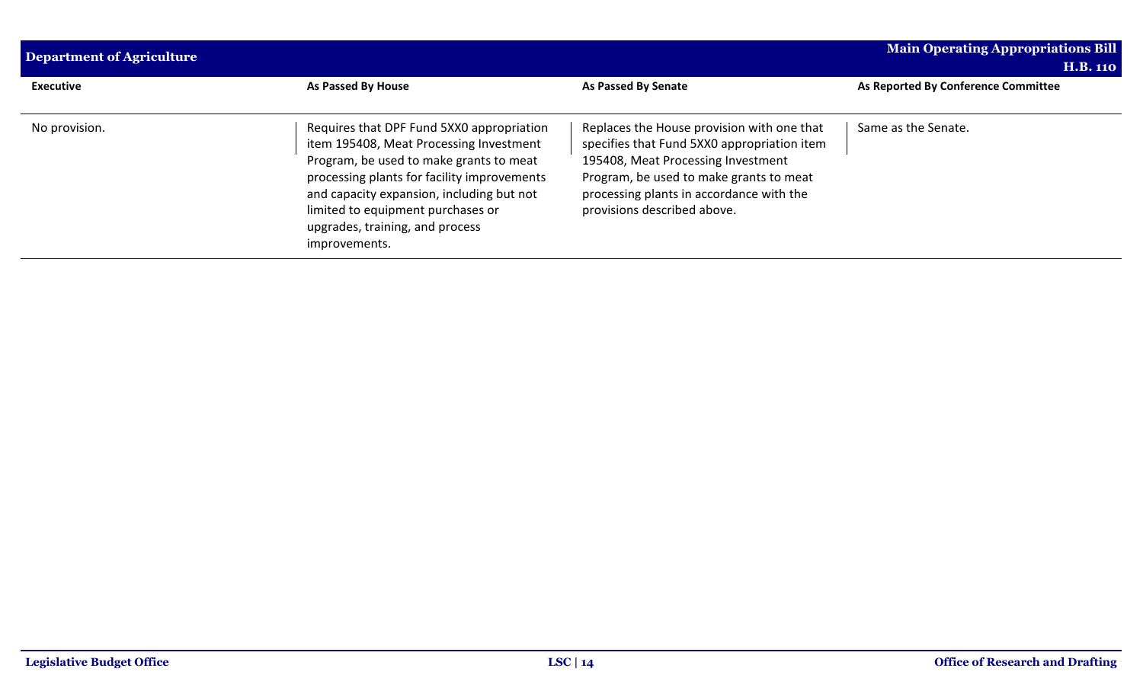| Department of Agriculture | <b>Main Operating Appropriations Bill</b><br><b>H.B. 110</b>                                                                                                                                                                                                                                                         |                                                                                                                                                                                                                                                       |                                     |
|---------------------------|----------------------------------------------------------------------------------------------------------------------------------------------------------------------------------------------------------------------------------------------------------------------------------------------------------------------|-------------------------------------------------------------------------------------------------------------------------------------------------------------------------------------------------------------------------------------------------------|-------------------------------------|
| <b>Executive</b>          | <b>As Passed By House</b>                                                                                                                                                                                                                                                                                            | <b>As Passed By Senate</b>                                                                                                                                                                                                                            | As Reported By Conference Committee |
| No provision.             | Requires that DPF Fund 5XX0 appropriation<br>item 195408, Meat Processing Investment<br>Program, be used to make grants to meat<br>processing plants for facility improvements<br>and capacity expansion, including but not<br>limited to equipment purchases or<br>upgrades, training, and process<br>improvements. | Replaces the House provision with one that<br>specifies that Fund 5XX0 appropriation item<br>195408, Meat Processing Investment<br>Program, be used to make grants to meat<br>processing plants in accordance with the<br>provisions described above. | Same as the Senate.                 |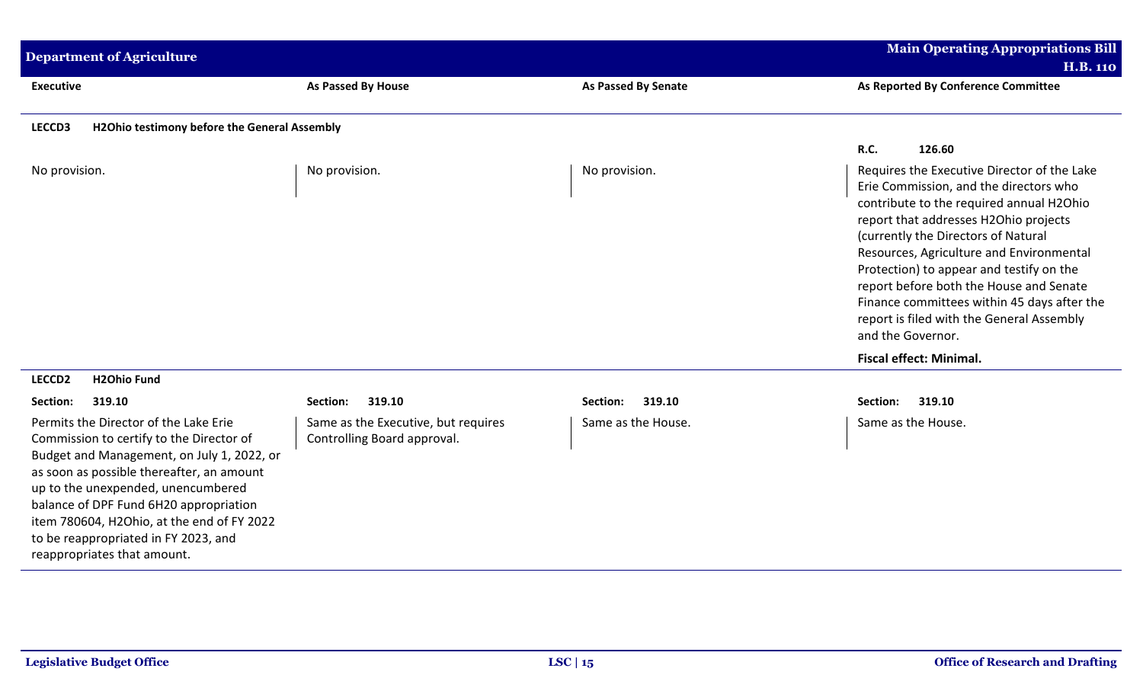| <b>Department of Agriculture</b>                                                                                                                                                                                                                                                                                                                                                  |                                                                    |                            | <b>Main Operating Appropriations Bill</b><br><b>H.B. 110</b>                                                                                                                                                                                                                                                                                                                                                                                                          |
|-----------------------------------------------------------------------------------------------------------------------------------------------------------------------------------------------------------------------------------------------------------------------------------------------------------------------------------------------------------------------------------|--------------------------------------------------------------------|----------------------------|-----------------------------------------------------------------------------------------------------------------------------------------------------------------------------------------------------------------------------------------------------------------------------------------------------------------------------------------------------------------------------------------------------------------------------------------------------------------------|
| <b>Executive</b>                                                                                                                                                                                                                                                                                                                                                                  | <b>As Passed By House</b>                                          | <b>As Passed By Senate</b> | As Reported By Conference Committee                                                                                                                                                                                                                                                                                                                                                                                                                                   |
| H2Ohio testimony before the General Assembly<br>LECCD3                                                                                                                                                                                                                                                                                                                            |                                                                    |                            |                                                                                                                                                                                                                                                                                                                                                                                                                                                                       |
|                                                                                                                                                                                                                                                                                                                                                                                   |                                                                    |                            | R.C.<br>126.60                                                                                                                                                                                                                                                                                                                                                                                                                                                        |
| No provision.                                                                                                                                                                                                                                                                                                                                                                     | No provision.                                                      | No provision.              | Requires the Executive Director of the Lake<br>Erie Commission, and the directors who<br>contribute to the required annual H2Ohio<br>report that addresses H2Ohio projects<br>(currently the Directors of Natural<br>Resources, Agriculture and Environmental<br>Protection) to appear and testify on the<br>report before both the House and Senate<br>Finance committees within 45 days after the<br>report is filed with the General Assembly<br>and the Governor. |
|                                                                                                                                                                                                                                                                                                                                                                                   |                                                                    |                            | <b>Fiscal effect: Minimal.</b>                                                                                                                                                                                                                                                                                                                                                                                                                                        |
| <b>H2Ohio Fund</b><br>LECCD <sub>2</sub>                                                                                                                                                                                                                                                                                                                                          |                                                                    |                            |                                                                                                                                                                                                                                                                                                                                                                                                                                                                       |
| Section:<br>319.10                                                                                                                                                                                                                                                                                                                                                                | 319.10<br>Section:                                                 | 319.10<br>Section:         | Section:<br>319.10                                                                                                                                                                                                                                                                                                                                                                                                                                                    |
| Permits the Director of the Lake Erie<br>Commission to certify to the Director of<br>Budget and Management, on July 1, 2022, or<br>as soon as possible thereafter, an amount<br>up to the unexpended, unencumbered<br>balance of DPF Fund 6H20 appropriation<br>item 780604, H2Ohio, at the end of FY 2022<br>to be reappropriated in FY 2023, and<br>reappropriates that amount. | Same as the Executive, but requires<br>Controlling Board approval. | Same as the House.         | Same as the House.                                                                                                                                                                                                                                                                                                                                                                                                                                                    |